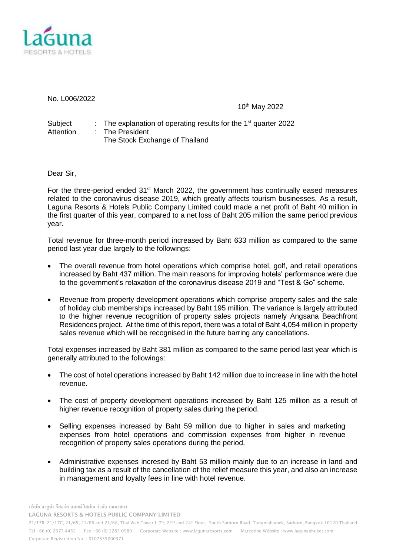

No. L006/2022

10<sup>th</sup> May 2022

Subject : The explanation of operating results for the 1<sup>st</sup> quarter 2022 Attention : The President The Stock Exchange of Thailand

Dear Sir,

For the three-period ended  $31<sup>st</sup>$  March 2022, the government has continually eased measures related to the coronavirus disease 2019, which greatly affects tourism businesses. As a result, Laguna Resorts & Hotels Public Company Limited could made a net profit of Baht 40 million in the first quarter of this year, compared to a net loss of Baht 205 million the same period previous year.

Total revenue for three-month period increased by Baht 633 million as compared to the same period last year due largely to the followings:

- The overall revenue from hotel operations which comprise hotel, golf, and retail operations increased by Baht 437 million. The main reasons for improving hotels' performance were due to the government's relaxation of the coronavirus disease 2019 and "Test & Go" scheme.
- Revenue from property development operations which comprise property sales and the sale of holiday club memberships increased by Baht 195 million. The variance is largely attributed to the higher revenue recognition of property sales projects namely Angsana Beachfront Residences project. At the time of this report, there was a total of Baht 4,054 million in property sales revenue which will be recognised in the future barring any cancellations.

Total expenses increased by Baht 381 million as compared to the same period last year which is generally attributed to the followings:

- The cost of hotel operations increased by Baht 142 million due to increase in line with the hotel revenue.
- The cost of property development operations increased by Baht 125 million as a result of higher revenue recognition of property sales during the period.
- Selling expenses increased by Baht 59 million due to higher in sales and marketing expenses from hotel operations and commission expenses from higher in revenue recognition of property sales operations during the period.
- Administrative expenses incresed by Baht 53 million mainly due to an increase in land and building tax as a result of the cancellation of the relief measure this year, and also an increase in management and loyalty fees in line with hotel revenue.

**บริษัท ลากูน่า รีสอร์ท แอนด์ โฮเท็ล จ ากัด (มหาชน) LAGUNA RESORTS & HOTELS PUBLIC COMPANY LIMITED** 

21/17B, 21/17C, 21/65, 21/66 and 21/68, Thai Wah Tower I, 7<sup>th</sup>, 22<sup>nd</sup> and 24<sup>th</sup> Floor, South Sathorn Road, Tungmahamek, Sathorn, Bangkok 10120 Thailand Tel : 66 (0) 2677 4455 Fax : 66 (0) 2285 0980 Corporate Website : [www.lagunaresorts.com](http://www.lagunaresorts.com/) Marketing Website [: www.lagunaphuket.com](http://www.lagunaphuket.com/) Corporate Registration No. : 0107535000371